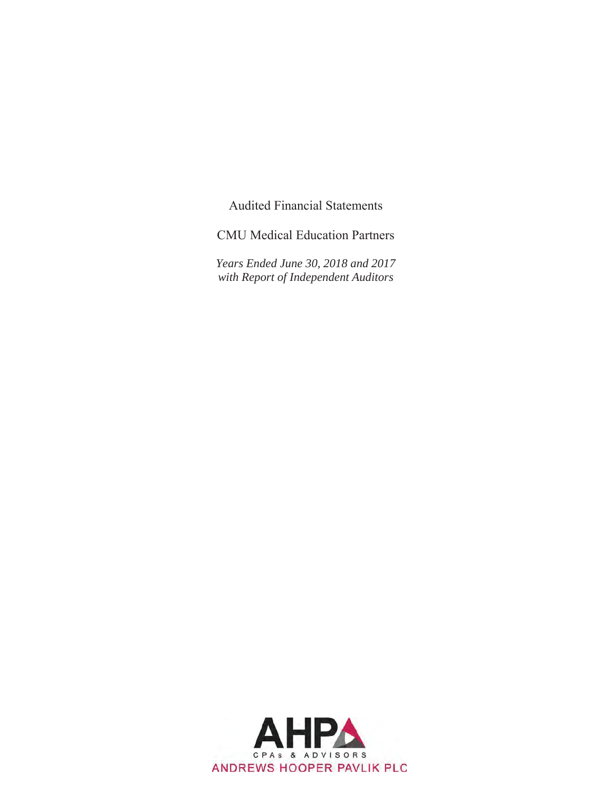**Audited Financial Statements** 

**CMU** Medical Education Partners

Years Ended June 30, 2018 and 2017 with Report of Independent Auditors

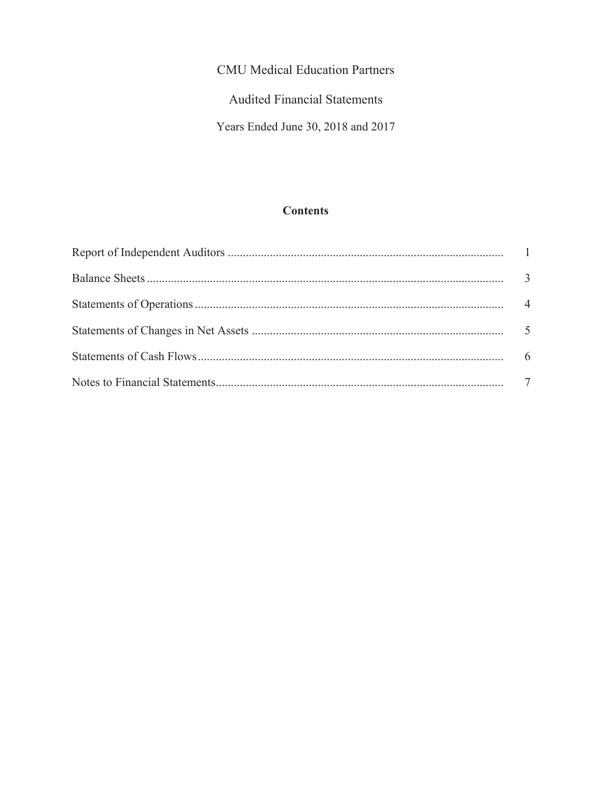Audited Financial Statements

Years Ended June 30, 2018 and 2017

# **Contents**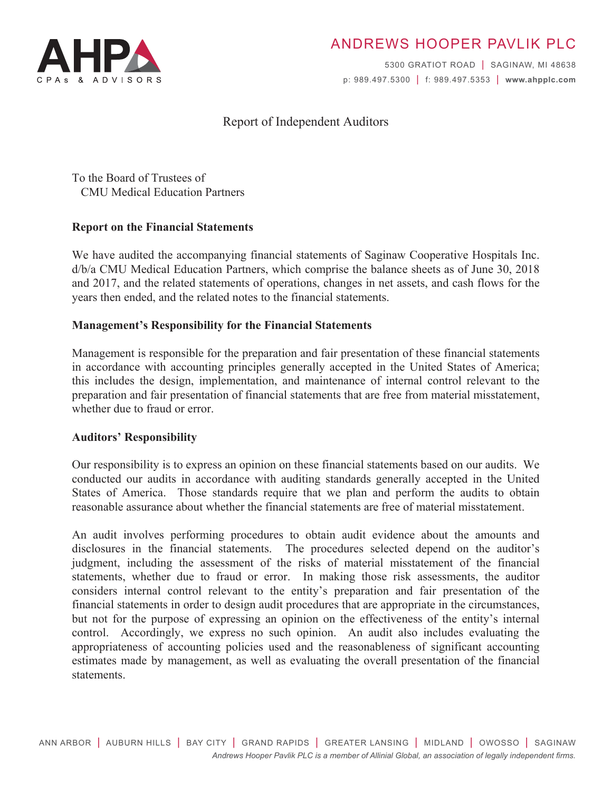

# ANDREWS HOOPER PAVLIK PLC

5300 GRATIOT ROAD | SAGINAW, MI 48638 p: 989.497.5300 | f: 989.497.5353 | www.ahpplc.com

# **Report of Independent Auditors**

To the Board of Trustees of **CMU** Medical Education Partners

# **Report on the Financial Statements**

We have audited the accompanying financial statements of Saginaw Cooperative Hospitals Inc. d/b/a CMU Medical Education Partners, which comprise the balance sheets as of June 30, 2018 and 2017, and the related statements of operations, changes in net assets, and cash flows for the years then ended, and the related notes to the financial statements.

# **Management's Responsibility for the Financial Statements**

Management is responsible for the preparation and fair presentation of these financial statements in accordance with accounting principles generally accepted in the United States of America; this includes the design, implementation, and maintenance of internal control relevant to the preparation and fair presentation of financial statements that are free from material misstatement, whether due to fraud or error.

#### **Auditors' Responsibility**

Our responsibility is to express an opinion on these financial statements based on our audits. We conducted our audits in accordance with auditing standards generally accepted in the United States of America. Those standards require that we plan and perform the audits to obtain reasonable assurance about whether the financial statements are free of material misstatement.

An audit involves performing procedures to obtain audit evidence about the amounts and disclosures in the financial statements. The procedures selected depend on the auditor's judgment, including the assessment of the risks of material misstatement of the financial statements, whether due to fraud or error. In making those risk assessments, the auditor considers internal control relevant to the entity's preparation and fair presentation of the financial statements in order to design audit procedures that are appropriate in the circumstances, but not for the purpose of expressing an opinion on the effectiveness of the entity's internal control. Accordingly, we express no such opinion. An audit also includes evaluating the appropriateness of accounting policies used and the reasonableness of significant accounting estimates made by management, as well as evaluating the overall presentation of the financial statements.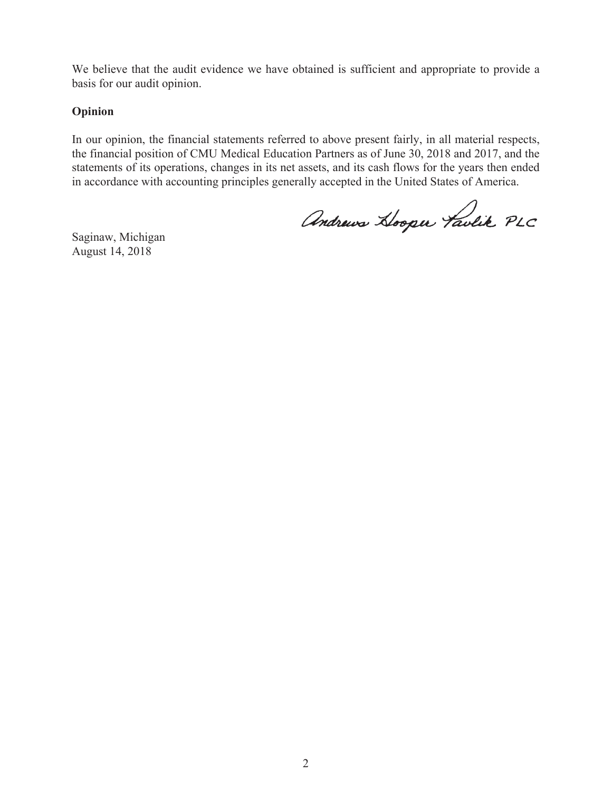We believe that the audit evidence we have obtained is sufficient and appropriate to provide a basis for our audit opinion.

# Opinion

In our opinion, the financial statements referred to above present fairly, in all material respects, the financial position of CMU Medical Education Partners as of June 30, 2018 and 2017, and the statements of its operations, changes in its net assets, and its cash flows for the years then ended in accordance with accounting principles generally accepted in the United States of America.

Andrews Hooper Taulik PLC

Saginaw, Michigan August 14, 2018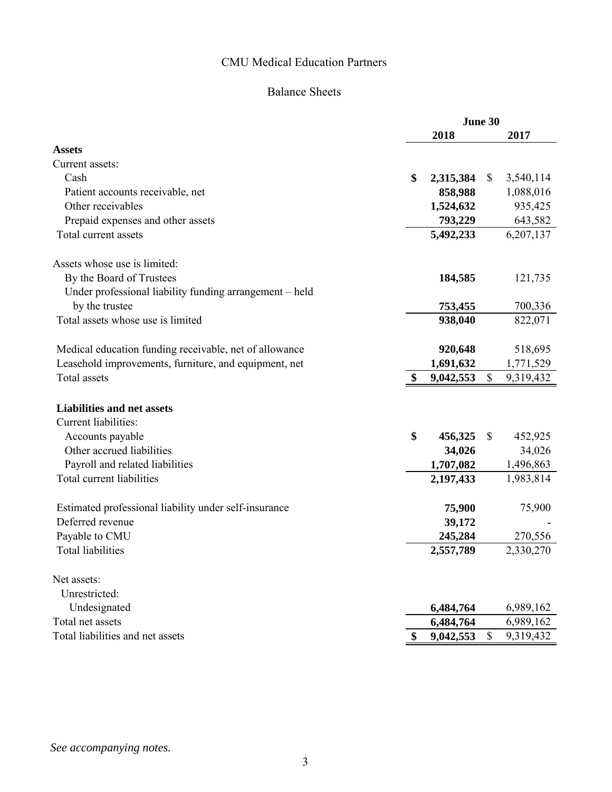# Balance Sheets

|                                                                                                            | June 30 |                   |              |                   |
|------------------------------------------------------------------------------------------------------------|---------|-------------------|--------------|-------------------|
|                                                                                                            |         | 2018              |              | 2017              |
| <b>Assets</b>                                                                                              |         |                   |              |                   |
| Current assets:                                                                                            |         |                   |              |                   |
| Cash                                                                                                       | \$      | 2,315,384         | \$           | 3,540,114         |
| Patient accounts receivable, net                                                                           |         | 858,988           |              | 1,088,016         |
| Other receivables                                                                                          |         | 1,524,632         |              | 935,425           |
| Prepaid expenses and other assets                                                                          |         | 793,229           |              | 643,582           |
| Total current assets                                                                                       |         | 5,492,233         |              | 6,207,137         |
| Assets whose use is limited:                                                                               |         |                   |              |                   |
| By the Board of Trustees                                                                                   |         | 184,585           |              | 121,735           |
| Under professional liability funding arrangement – held                                                    |         |                   |              |                   |
| by the trustee                                                                                             |         | 753,455           |              | 700,336           |
| Total assets whose use is limited                                                                          |         | 938,040           |              | 822,071           |
| Medical education funding receivable, net of allowance                                                     |         | 920,648           |              | 518,695           |
| Leasehold improvements, furniture, and equipment, net                                                      |         | 1,691,632         |              | 1,771,529         |
| Total assets                                                                                               |         | 9,042,553         | $\mathbb{S}$ | 9,319,432         |
| <b>Liabilities and net assets</b><br>Current liabilities:<br>Accounts payable<br>Other accrued liabilities | \$      | 456,325<br>34,026 | \$           | 452,925<br>34,026 |
| Payroll and related liabilities                                                                            |         | 1,707,082         |              | 1,496,863         |
| Total current liabilities                                                                                  |         | 2,197,433         |              | 1,983,814         |
| Estimated professional liability under self-insurance                                                      |         | 75,900            |              | 75,900            |
| Deferred revenue                                                                                           |         | 39,172            |              |                   |
| Payable to CMU                                                                                             |         | 245,284           |              | 270,556           |
| <b>Total liabilities</b>                                                                                   |         | 2,557,789         |              | 2,330,270         |
| Net assets:                                                                                                |         |                   |              |                   |
| Unrestricted:                                                                                              |         |                   |              |                   |
| Undesignated<br>Total net assets                                                                           |         | 6,484,764         |              | 6,989,162         |
| Total liabilities and net assets                                                                           |         | 6,484,764         |              | 6,989,162         |
|                                                                                                            |         | 9,042,553         | $\mathbb{S}$ | 9,319,432         |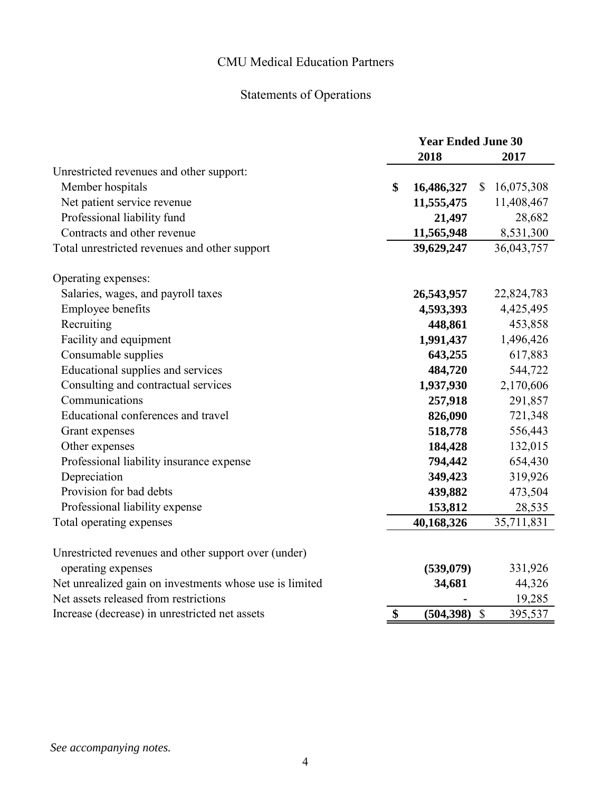# Statements of Operations

|                                                         | <b>Year Ended June 30</b> |            |              |            |
|---------------------------------------------------------|---------------------------|------------|--------------|------------|
|                                                         |                           | 2018       |              | 2017       |
| Unrestricted revenues and other support:                |                           |            |              |            |
| Member hospitals                                        | \$                        | 16,486,327 | \$           | 16,075,308 |
| Net patient service revenue                             |                           | 11,555,475 |              | 11,408,467 |
| Professional liability fund                             |                           | 21,497     |              | 28,682     |
| Contracts and other revenue                             |                           | 11,565,948 |              | 8,531,300  |
| Total unrestricted revenues and other support           |                           | 39,629,247 |              | 36,043,757 |
| Operating expenses:                                     |                           |            |              |            |
| Salaries, wages, and payroll taxes                      |                           | 26,543,957 |              | 22,824,783 |
| Employee benefits                                       |                           | 4,593,393  |              | 4,425,495  |
| Recruiting                                              |                           | 448,861    |              | 453,858    |
| Facility and equipment                                  |                           | 1,991,437  |              | 1,496,426  |
| Consumable supplies                                     |                           | 643,255    |              | 617,883    |
| Educational supplies and services                       |                           | 484,720    |              | 544,722    |
| Consulting and contractual services                     |                           | 1,937,930  |              | 2,170,606  |
| Communications                                          |                           | 257,918    |              | 291,857    |
| Educational conferences and travel                      |                           | 826,090    |              | 721,348    |
| Grant expenses                                          |                           | 518,778    |              | 556,443    |
| Other expenses                                          |                           | 184,428    |              | 132,015    |
| Professional liability insurance expense                |                           | 794,442    |              | 654,430    |
| Depreciation                                            |                           | 349,423    |              | 319,926    |
| Provision for bad debts                                 |                           | 439,882    |              | 473,504    |
| Professional liability expense                          |                           | 153,812    |              | 28,535     |
| Total operating expenses                                |                           | 40,168,326 |              | 35,711,831 |
| Unrestricted revenues and other support over (under)    |                           |            |              |            |
| operating expenses                                      |                           | (539, 079) |              | 331,926    |
| Net unrealized gain on investments whose use is limited |                           | 34,681     |              | 44,326     |
| Net assets released from restrictions                   |                           |            |              | 19,285     |
| Increase (decrease) in unrestricted net assets          | \$                        | (504, 398) | $\mathbb{S}$ | 395,537    |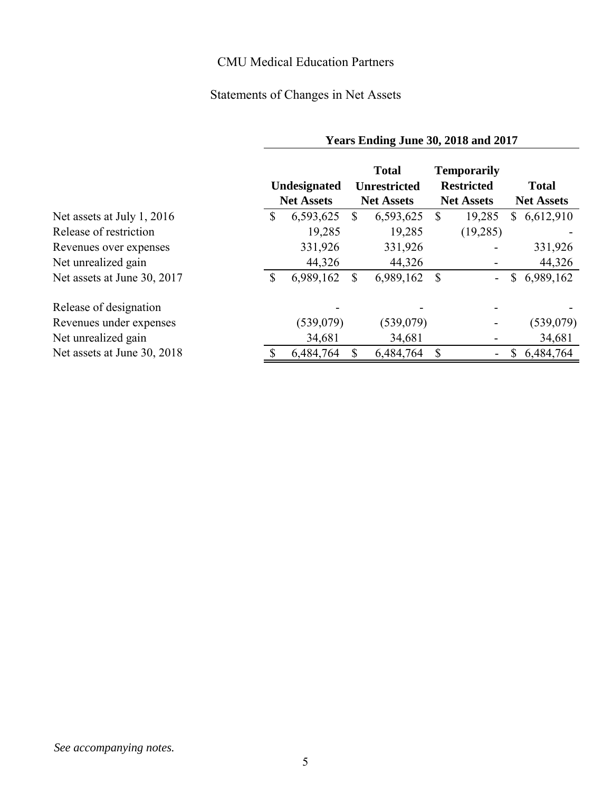# Statements of Changes in Net Assets

|                             | Years Ending June 30, 2018 and 2017 |                                   |   |                                                          |              |                                                              |              |                                   |
|-----------------------------|-------------------------------------|-----------------------------------|---|----------------------------------------------------------|--------------|--------------------------------------------------------------|--------------|-----------------------------------|
|                             |                                     | Undesignated<br><b>Net Assets</b> |   | <b>Total</b><br><b>Unrestricted</b><br><b>Net Assets</b> |              | <b>Temporarily</b><br><b>Restricted</b><br><b>Net Assets</b> |              | <b>Total</b><br><b>Net Assets</b> |
| Net assets at July 1, 2016  | \$                                  | 6,593,625                         | S | 6,593,625                                                | $\mathbb{S}$ | 19,285                                                       | $\mathbb{S}$ | 6,612,910                         |
| Release of restriction      |                                     | 19,285                            |   | 19,285                                                   |              | (19,285)                                                     |              |                                   |
| Revenues over expenses      |                                     | 331,926                           |   | 331,926                                                  |              |                                                              |              | 331,926                           |
| Net unrealized gain         |                                     | 44,326                            |   | 44,326                                                   |              |                                                              |              | 44,326                            |
| Net assets at June 30, 2017 | \$                                  | 6,989,162                         | S | 6,989,162                                                | $\mathbb{S}$ |                                                              |              | \$6,989,162                       |
| Release of designation      |                                     |                                   |   |                                                          |              |                                                              |              |                                   |
| Revenues under expenses     |                                     | (539,079)                         |   | (539, 079)                                               |              |                                                              |              | (539,079)                         |
| Net unrealized gain         |                                     | 34,681                            |   | 34,681                                                   |              |                                                              |              | 34,681                            |
| Net assets at June 30, 2018 |                                     | 6,484,764                         |   | 6,484,764                                                | \$           |                                                              | S            | 6,484,764                         |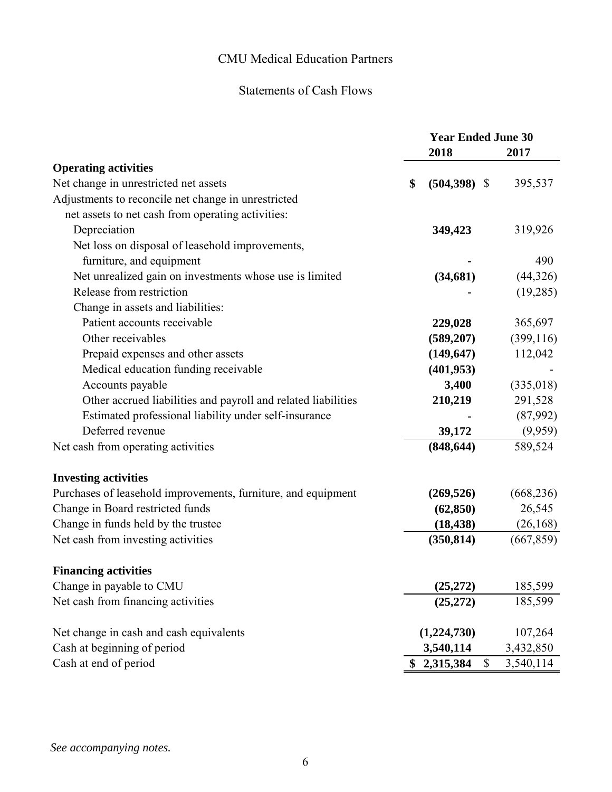# Statements of Cash Flows

|                                                               | <b>Year Ended June 30</b> |                 |            |
|---------------------------------------------------------------|---------------------------|-----------------|------------|
|                                                               |                           | 2018            | 2017       |
| <b>Operating activities</b>                                   |                           |                 |            |
| Net change in unrestricted net assets                         | \$                        | $(504,398)$ \$  | 395,537    |
| Adjustments to reconcile net change in unrestricted           |                           |                 |            |
| net assets to net cash from operating activities:             |                           |                 |            |
| Depreciation                                                  |                           | 349,423         | 319,926    |
| Net loss on disposal of leasehold improvements,               |                           |                 |            |
| furniture, and equipment                                      |                           |                 | 490        |
| Net unrealized gain on investments whose use is limited       |                           | (34, 681)       | (44, 326)  |
| Release from restriction                                      |                           |                 | (19,285)   |
| Change in assets and liabilities:                             |                           |                 |            |
| Patient accounts receivable                                   |                           | 229,028         | 365,697    |
| Other receivables                                             |                           | (589, 207)      | (399, 116) |
| Prepaid expenses and other assets                             |                           | (149, 647)      | 112,042    |
| Medical education funding receivable                          |                           | (401, 953)      |            |
| Accounts payable                                              |                           | 3,400           | (335,018)  |
| Other accrued liabilities and payroll and related liabilities |                           | 210,219         | 291,528    |
| Estimated professional liability under self-insurance         |                           |                 | (87,992)   |
| Deferred revenue                                              |                           | 39,172          | (9,959)    |
| Net cash from operating activities                            |                           | (848, 644)      | 589,524    |
| <b>Investing activities</b>                                   |                           |                 |            |
| Purchases of leasehold improvements, furniture, and equipment |                           | (269, 526)      | (668, 236) |
| Change in Board restricted funds                              |                           | (62, 850)       | 26,545     |
| Change in funds held by the trustee                           |                           | (18, 438)       | (26, 168)  |
| Net cash from investing activities                            |                           | (350, 814)      | (667, 859) |
| <b>Financing activities</b>                                   |                           |                 |            |
| Change in payable to CMU                                      |                           | (25, 272)       | 185,599    |
| Net cash from financing activities                            |                           | (25, 272)       | 185,599    |
| Net change in cash and cash equivalents                       |                           | (1,224,730)     | 107,264    |
| Cash at beginning of period                                   |                           | 3,540,114       | 3,432,850  |
| Cash at end of period                                         | \$                        | \$<br>2,315,384 | 3,540,114  |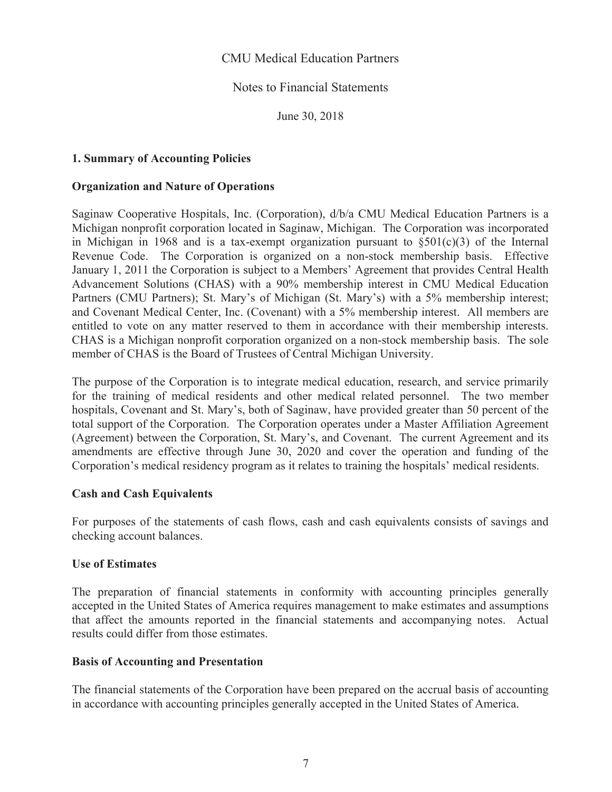# Notes to Financial Statements

June 30, 2018

# **1. Summary of Accounting Policies**

#### **Organization and Nature of Operations**

Saginaw Cooperative Hospitals, Inc. (Corporation), d/b/a CMU Medical Education Partners is a Michigan nonprofit corporation located in Saginaw, Michigan. The Corporation was incorporated in Michigan in 1968 and is a tax-exempt organization pursuant to  $\S501(c)(3)$  of the Internal Revenue Code. The Corporation is organized on a non-stock membership basis. Effective January 1, 2011 the Corporation is subject to a Members' Agreement that provides Central Health Advancement Solutions (CHAS) with a 90% membership interest in CMU Medical Education Partners (CMU Partners); St. Mary's of Michigan (St. Mary's) with a 5% membership interest; and Covenant Medical Center, Inc. (Covenant) with a 5% membership interest. All members are entitled to vote on any matter reserved to them in accordance with their membership interests. CHAS is a Michigan nonprofit corporation organized on a non-stock membership basis. The sole member of CHAS is the Board of Trustees of Central Michigan University.

The purpose of the Corporation is to integrate medical education, research, and service primarily for the training of medical residents and other medical related personnel. The two member hospitals, Covenant and St. Mary's, both of Saginaw, have provided greater than 50 percent of the total support of the Corporation. The Corporation operates under a Master Affiliation Agreement (Agreement) between the Corporation, St. Mary's, and Covenant. The current Agreement and its amendments are effective through June 30, 2020 and cover the operation and funding of the Corporation's medical residency program as it relates to training the hospitals' medical residents.

#### **Cash and Cash Equivalents**

For purposes of the statements of cash flows, cash and cash equivalents consists of savings and checking account balances.

#### **Use of Estimates**

The preparation of financial statements in conformity with accounting principles generally accepted in the United States of America requires management to make estimates and assumptions that affect the amounts reported in the financial statements and accompanying notes. Actual results could differ from those estimates.

#### **Basis of Accounting and Presentation**

The financial statements of the Corporation have been prepared on the accrual basis of accounting in accordance with accounting principles generally accepted in the United States of America.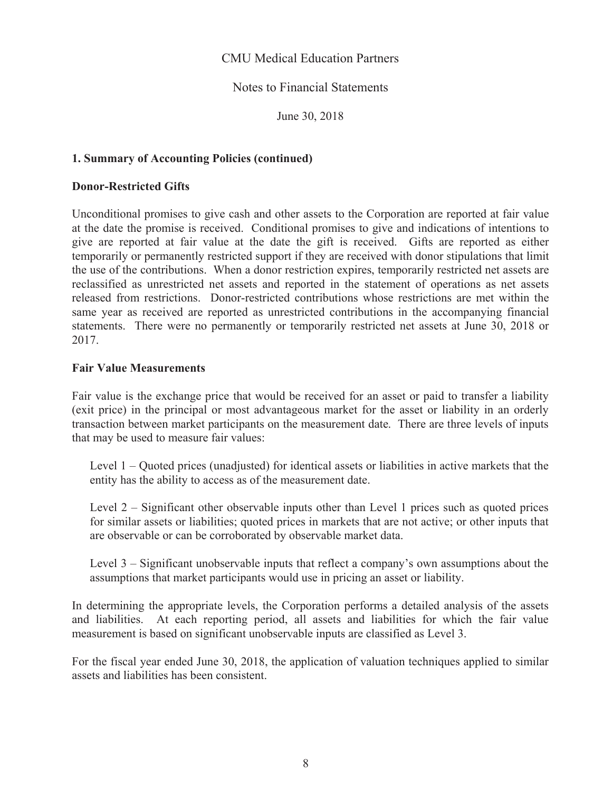# Notes to Financial Statements

June 30, 2018

### **1. Summary of Accounting Policies (continued)**

### **Donor-Restricted Gifts**

Unconditional promises to give cash and other assets to the Corporation are reported at fair value at the date the promise is received. Conditional promises to give and indications of intentions to give are reported at fair value at the date the gift is received. Gifts are reported as either temporarily or permanently restricted support if they are received with donor stipulations that limit the use of the contributions. When a donor restriction expires, temporarily restricted net assets are reclassified as unrestricted net assets and reported in the statement of operations as net assets released from restrictions. Donor-restricted contributions whose restrictions are met within the same year as received are reported as unrestricted contributions in the accompanying financial statements. There were no permanently or temporarily restricted net assets at June 30, 2018 or 2017.

#### **Fair Value Measurements**

Fair value is the exchange price that would be received for an asset or paid to transfer a liability (exit price) in the principal or most advantageous market for the asset or liability in an orderly transaction between market participants on the measurement date. There are three levels of inputs that may be used to measure fair values:

Level  $1 -$ Quoted prices (unadjusted) for identical assets or liabilities in active markets that the entity has the ability to access as of the measurement date.

Level  $2$  – Significant other observable inputs other than Level 1 prices such as quoted prices for similar assets or liabilities; quoted prices in markets that are not active; or other inputs that are observable or can be corroborated by observable market data.

Level  $3$  – Significant unobservable inputs that reflect a company's own assumptions about the assumptions that market participants would use in pricing an asset or liability.

In determining the appropriate levels, the Corporation performs a detailed analysis of the assets and liabilities. At each reporting period, all assets and liabilities for which the fair value measurement is based on significant unobservable inputs are classified as Level 3.

For the fiscal year ended June 30, 2018, the application of valuation techniques applied to similar assets and liabilities has been consistent.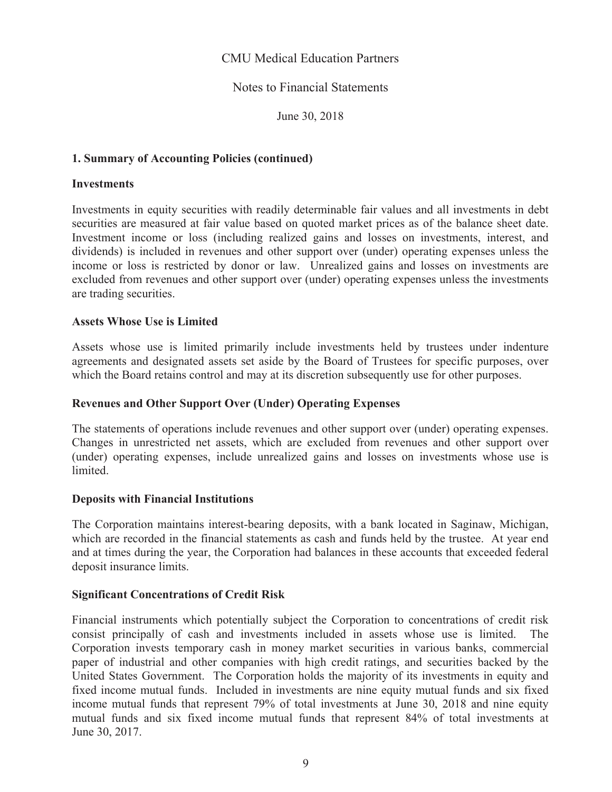# **Notes to Financial Statements**

June 30, 2018

# **1. Summary of Accounting Policies (continued)**

#### **Investments**

Investments in equity securities with readily determinable fair values and all investments in debt securities are measured at fair value based on quoted market prices as of the balance sheet date. Investment income or loss (including realized gains and losses on investments, interest, and dividends) is included in revenues and other support over (under) operating expenses unless the income or loss is restricted by donor or law. Unrealized gains and losses on investments are excluded from revenues and other support over (under) operating expenses unless the investments are trading securities.

#### **Assets Whose Use is Limited**

Assets whose use is limited primarily include investments held by trustees under indenture agreements and designated assets set aside by the Board of Trustees for specific purposes, over which the Board retains control and may at its discretion subsequently use for other purposes.

#### **Revenues and Other Support Over (Under) Operating Expenses**

The statements of operations include revenues and other support over (under) operating expenses. Changes in unrestricted net assets, which are excluded from revenues and other support over (under) operating expenses, include unrealized gains and losses on investments whose use is limited.

#### **Deposits with Financial Institutions**

The Corporation maintains interest-bearing deposits, with a bank located in Saginaw, Michigan, which are recorded in the financial statements as cash and funds held by the trustee. At year end and at times during the year, the Corporation had balances in these accounts that exceeded federal deposit insurance limits.

#### **Significant Concentrations of Credit Risk**

Financial instruments which potentially subject the Corporation to concentrations of credit risk consist principally of cash and investments included in assets whose use is limited. **The** Corporation invests temporary cash in money market securities in various banks, commercial paper of industrial and other companies with high credit ratings, and securities backed by the United States Government. The Corporation holds the majority of its investments in equity and fixed income mutual funds. Included in investments are nine equity mutual funds and six fixed income mutual funds that represent 79% of total investments at June 30, 2018 and nine equity mutual funds and six fixed income mutual funds that represent 84% of total investments at June 30, 2017.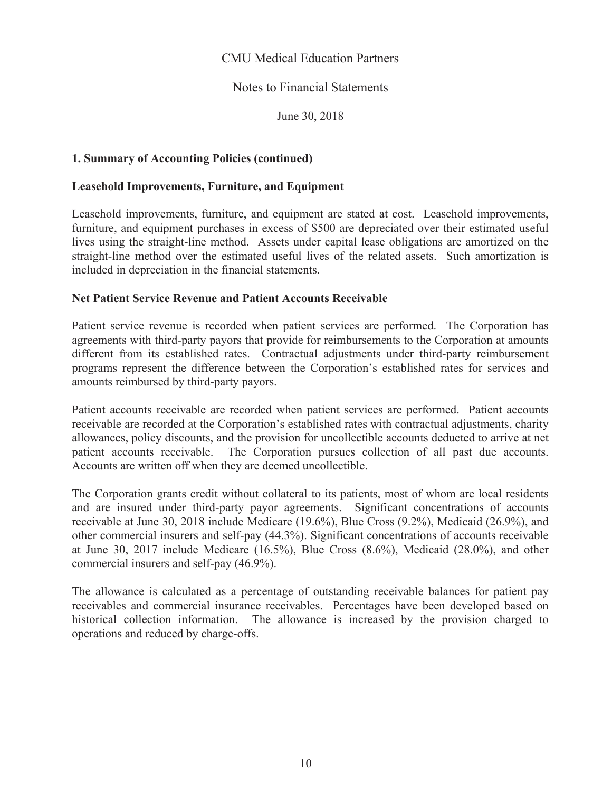# **Notes to Financial Statements**

June 30, 2018

### **1. Summary of Accounting Policies (continued)**

#### **Leasehold Improvements, Furniture, and Equipment**

Leasehold improvements, furniture, and equipment are stated at cost. Leasehold improvements, furniture, and equipment purchases in excess of \$500 are depreciated over their estimated useful lives using the straight-line method. Assets under capital lease obligations are amortized on the straight-line method over the estimated useful lives of the related assets. Such amortization is included in depreciation in the financial statements.

#### **Net Patient Service Revenue and Patient Accounts Receivable**

Patient service revenue is recorded when patient services are performed. The Corporation has agreements with third-party payors that provide for reimbursements to the Corporation at amounts different from its established rates. Contractual adjustments under third-party reimbursement programs represent the difference between the Corporation's established rates for services and amounts reimbursed by third-party payors.

Patient accounts receivable are recorded when patient services are performed. Patient accounts receivable are recorded at the Corporation's established rates with contractual adjustments, charity allowances, policy discounts, and the provision for uncollectible accounts deducted to arrive at net patient accounts receivable. The Corporation pursues collection of all past due accounts. Accounts are written off when they are deemed uncollectible.

The Corporation grants credit without collateral to its patients, most of whom are local residents and are insured under third-party payor agreements. Significant concentrations of accounts receivable at June 30, 2018 include Medicare (19.6%), Blue Cross (9.2%), Medicaid (26.9%), and other commercial insurers and self-pay (44.3%). Significant concentrations of accounts receivable at June 30, 2017 include Medicare  $(16.5\%)$ , Blue Cross  $(8.6\%)$ , Medicaid  $(28.0\%)$ , and other commercial insurers and self-pay (46.9%).

The allowance is calculated as a percentage of outstanding receivable balances for patient pay receivables and commercial insurance receivables. Percentages have been developed based on historical collection information. The allowance is increased by the provision charged to operations and reduced by charge-offs.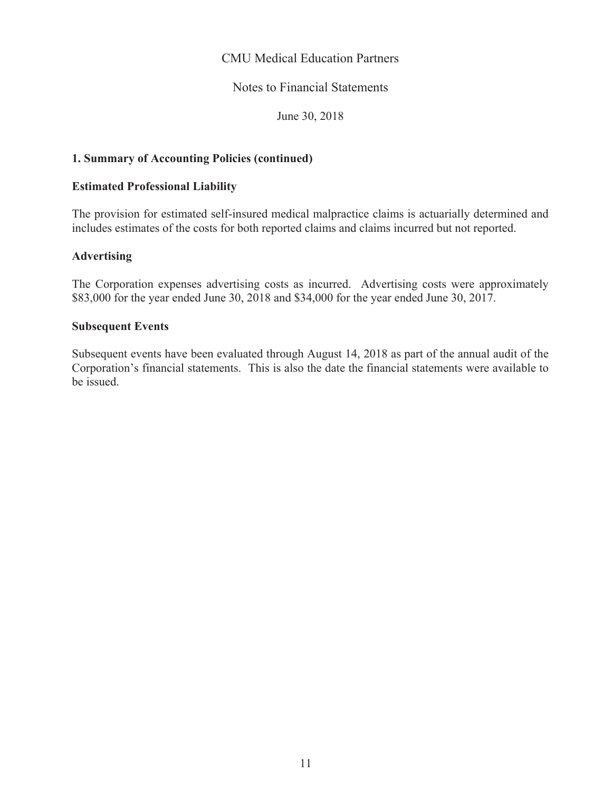# Notes to Financial Statements

June 30, 2018

### **1. Summary of Accounting Policies (continued)**

### **Estimated Professional Liability**

The provision for estimated self-insured medical malpractice claims is actuarially determined and includes estimates of the costs for both reported claims and claims incurred but not reported.

# **Advertising**

The Corporation expenses advertising costs as incurred. Advertising costs were approximately \$83,000 for the year ended June 30, 2018 and \$34,000 for the year ended June 30, 2017.

#### **Subsequent Events**

Subsequent events have been evaluated through August 14, 2018 as part of the annual audit of the Corporation's financial statements. This is also the date the financial statements were available to be issued.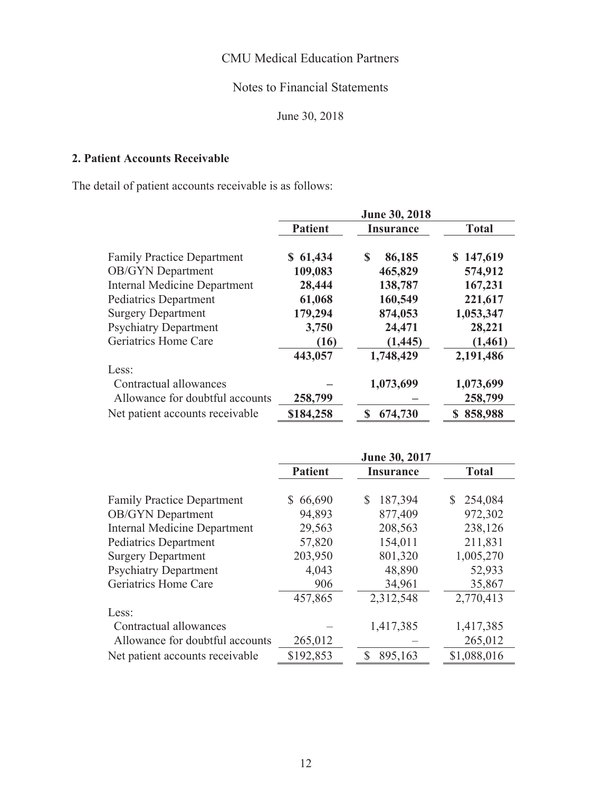# **Notes to Financial Statements**

June 30, 2018

# 2. Patient Accounts Receivable

The detail of patient accounts receivable is as follows:

|                                     | <b>June 30, 2018</b> |                  |              |  |  |
|-------------------------------------|----------------------|------------------|--------------|--|--|
|                                     | <b>Patient</b>       | <b>Insurance</b> | <b>Total</b> |  |  |
| <b>Family Practice Department</b>   | \$61,434             | S<br>86,185      | \$147,619    |  |  |
| <b>OB/GYN</b> Department            | 109,083              | 465,829          | 574,912      |  |  |
| <b>Internal Medicine Department</b> | 28,444               | 138,787          | 167,231      |  |  |
| Pediatrics Department               | 61,068               | 160,549          | 221,617      |  |  |
| <b>Surgery Department</b>           | 179,294              | 874,053          | 1,053,347    |  |  |
| <b>Psychiatry Department</b>        | 3,750                | 24,471           | 28,221       |  |  |
| Geriatrics Home Care                | (16)                 | (1, 445)         | (1,461)      |  |  |
|                                     | 443,057              | 1,748,429        | 2,191,486    |  |  |
| Less:                               |                      |                  |              |  |  |
| Contractual allowances              |                      | 1,073,699        | 1,073,699    |  |  |
| Allowance for doubtful accounts     | 258,799              |                  | 258,799      |  |  |
| Net patient accounts receivable     | \$184,258            | 674,730          | 858,988      |  |  |

|                                     |                | June 30, 2017    |              |
|-------------------------------------|----------------|------------------|--------------|
|                                     | <b>Patient</b> | <b>Insurance</b> | <b>Total</b> |
|                                     |                |                  |              |
| <b>Family Practice Department</b>   | 66,690<br>S.   | \$<br>187,394    | 254,084<br>S |
| <b>OB/GYN</b> Department            | 94,893         | 877,409          | 972,302      |
| <b>Internal Medicine Department</b> | 29,563         | 208,563          | 238,126      |
| <b>Pediatrics Department</b>        | 57,820         | 154,011          | 211,831      |
| <b>Surgery Department</b>           | 203,950        | 801,320          | 1,005,270    |
| <b>Psychiatry Department</b>        | 4,043          | 48,890           | 52,933       |
| Geriatrics Home Care                | 906            | 34,961           | 35,867       |
|                                     | 457,865        | 2,312,548        | 2,770,413    |
| Less:                               |                |                  |              |
| Contractual allowances              |                | 1,417,385        | 1,417,385    |
| Allowance for doubtful accounts     | 265,012        |                  | 265,012      |
| Net patient accounts receivable     | \$192,853      | \$<br>895,163    | \$1,088,016  |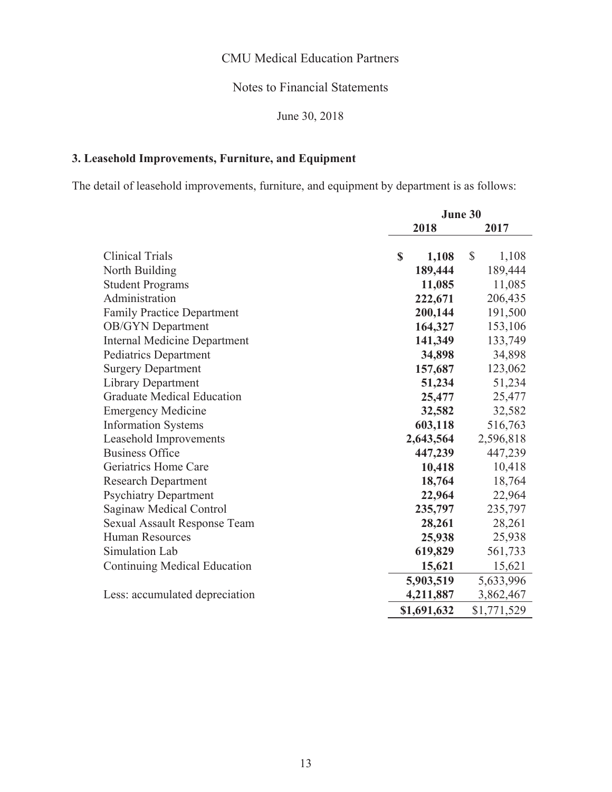# **Notes to Financial Statements**

June 30, 2018

# 3. Leasehold Improvements, Furniture, and Equipment

The detail of leasehold improvements, furniture, and equipment by department is as follows:

|                                     | <b>June 30</b> |             |    |             |
|-------------------------------------|----------------|-------------|----|-------------|
|                                     | 2018           |             |    | 2017        |
|                                     |                |             |    |             |
| <b>Clinical Trials</b>              | $\mathbf S$    | 1,108       | \$ | 1,108       |
| North Building                      |                | 189,444     |    | 189,444     |
| <b>Student Programs</b>             |                | 11,085      |    | 11,085      |
| Administration                      |                | 222,671     |    | 206,435     |
| <b>Family Practice Department</b>   |                | 200,144     |    | 191,500     |
| <b>OB/GYN</b> Department            |                | 164,327     |    | 153,106     |
| <b>Internal Medicine Department</b> |                | 141,349     |    | 133,749     |
| <b>Pediatrics Department</b>        |                | 34,898      |    | 34,898      |
| <b>Surgery Department</b>           |                | 157,687     |    | 123,062     |
| <b>Library Department</b>           |                | 51,234      |    | 51,234      |
| <b>Graduate Medical Education</b>   |                | 25,477      |    | 25,477      |
| <b>Emergency Medicine</b>           |                | 32,582      |    | 32,582      |
| <b>Information Systems</b>          |                | 603,118     |    | 516,763     |
| Leasehold Improvements              |                | 2,643,564   |    | 2,596,818   |
| <b>Business Office</b>              |                | 447,239     |    | 447,239     |
| Geriatrics Home Care                |                | 10,418      |    | 10,418      |
| <b>Research Department</b>          |                | 18,764      |    | 18,764      |
| <b>Psychiatry Department</b>        |                | 22,964      |    | 22,964      |
| Saginaw Medical Control             |                | 235,797     |    | 235,797     |
| <b>Sexual Assault Response Team</b> |                | 28,261      |    | 28,261      |
| <b>Human Resources</b>              |                | 25,938      |    | 25,938      |
| Simulation Lab                      |                | 619,829     |    | 561,733     |
| <b>Continuing Medical Education</b> |                | 15,621      |    | 15,621      |
|                                     |                | 5,903,519   |    | 5,633,996   |
| Less: accumulated depreciation      |                | 4,211,887   |    | 3,862,467   |
|                                     |                | \$1,691,632 |    | \$1,771,529 |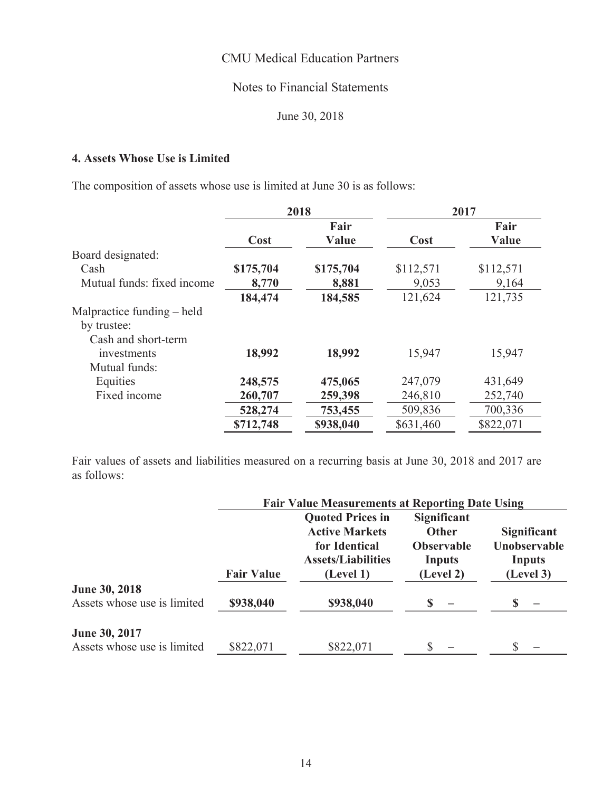# **Notes to Financial Statements**

June 30, 2018

# 4. Assets Whose Use is Limited

The composition of assets whose use is limited at June 30 is as follows:

|                            |           | 2018          |           | 2017          |
|----------------------------|-----------|---------------|-----------|---------------|
|                            | Cost      | Fair<br>Value | Cost      | Fair<br>Value |
|                            |           |               |           |               |
| Board designated:          |           |               |           |               |
| Cash                       | \$175,704 | \$175,704     | \$112,571 | \$112,571     |
| Mutual funds: fixed income | 8,770     | 8,881         | 9,053     | 9,164         |
|                            | 184,474   | 184,585       | 121,624   | 121,735       |
| Malpractice funding – held |           |               |           |               |
| by trustee:                |           |               |           |               |
| Cash and short-term        |           |               |           |               |
| investments                | 18,992    | 18,992        | 15,947    | 15,947        |
| Mutual funds:              |           |               |           |               |
| Equities                   | 248,575   | 475,065       | 247,079   | 431,649       |
| Fixed income               | 260,707   | 259,398       | 246,810   | 252,740       |
|                            | 528,274   | 753,455       | 509,836   | 700,336       |
|                            | \$712,748 | \$938,040     | \$631,460 | \$822,071     |

Fair values of assets and liabilities measured on a recurring basis at June 30, 2018 and 2017 are as follows:

|                                              | <b>Fair Value Measurements at Reporting Date Using</b> |                                                                                                             |                                                                                |                                                    |  |
|----------------------------------------------|--------------------------------------------------------|-------------------------------------------------------------------------------------------------------------|--------------------------------------------------------------------------------|----------------------------------------------------|--|
|                                              | <b>Fair Value</b>                                      | <b>Quoted Prices in</b><br><b>Active Markets</b><br>for Identical<br><b>Assets/Liabilities</b><br>(Level 1) | <b>Significant</b><br><b>Other</b><br><b>Observable</b><br>Inputs<br>(Level 2) | Significant<br>Unobservable<br>Inputs<br>(Level 3) |  |
| June 30, 2018<br>Assets whose use is limited | \$938,040                                              | \$938,040                                                                                                   |                                                                                |                                                    |  |
| June 30, 2017<br>Assets whose use is limited | \$822,071                                              | \$822,071                                                                                                   | \$                                                                             |                                                    |  |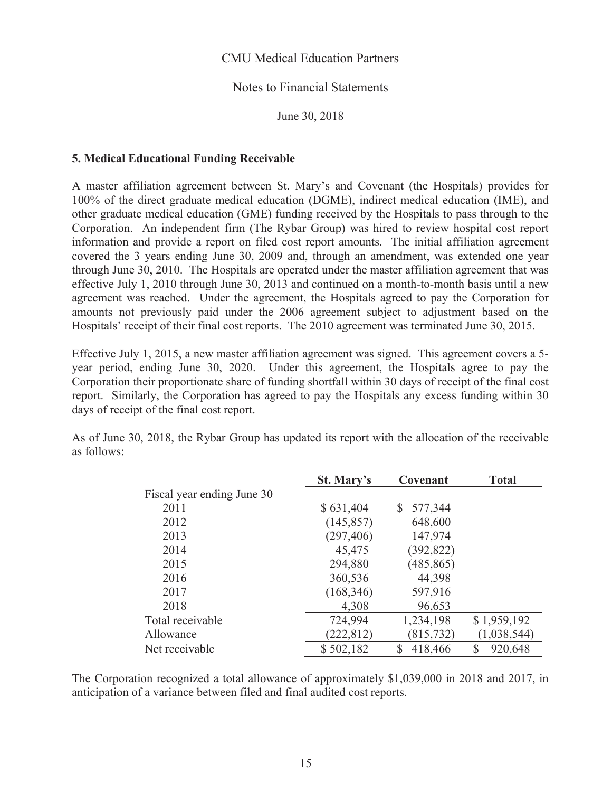#### Notes to Financial Statements

June 30, 2018

#### 5. Medical Educational Funding Receivable

A master affiliation agreement between St. Mary's and Covenant (the Hospitals) provides for 100% of the direct graduate medical education (DGME), indirect medical education (IME), and other graduate medical education (GME) funding received by the Hospitals to pass through to the Corporation. An independent firm (The Rybar Group) was hired to review hospital cost report information and provide a report on filed cost report amounts. The initial affiliation agreement covered the 3 years ending June 30, 2009 and, through an amendment, was extended one year through June 30, 2010. The Hospitals are operated under the master affiliation agreement that was effective July 1, 2010 through June 30, 2013 and continued on a month-to-month basis until a new agreement was reached. Under the agreement, the Hospitals agreed to pay the Corporation for amounts not previously paid under the 2006 agreement subject to adjustment based on the Hospitals' receipt of their final cost reports. The 2010 agreement was terminated June 30, 2015.

Effective July 1, 2015, a new master affiliation agreement was signed. This agreement covers a 5year period, ending June 30, 2020. Under this agreement, the Hospitals agree to pay the Corporation their proportionate share of funding shortfall within 30 days of receipt of the final cost report. Similarly, the Corporation has agreed to pay the Hospitals any excess funding within 30 days of receipt of the final cost report.

As of June 30, 2018, the Rybar Group has updated its report with the allocation of the receivable as follows:

|                            | St. Mary's | Covenant      | <b>Total</b>  |
|----------------------------|------------|---------------|---------------|
| Fiscal year ending June 30 |            |               |               |
| 2011                       | \$631,404  | 577,344<br>S. |               |
| 2012                       | (145, 857) | 648,600       |               |
| 2013                       | (297, 406) | 147,974       |               |
| 2014                       | 45,475     | (392, 822)    |               |
| 2015                       | 294,880    | (485, 865)    |               |
| 2016                       | 360,536    | 44,398        |               |
| 2017                       | (168, 346) | 597,916       |               |
| 2018                       | 4,308      | 96,653        |               |
| Total receivable           | 724,994    | 1,234,198     | \$1,959,192   |
| Allowance                  | (222, 812) | (815, 732)    | (1,038,544)   |
| Net receivable             | \$502,182  | \$<br>418,466 | \$<br>920,648 |

The Corporation recognized a total allowance of approximately \$1,039,000 in 2018 and 2017, in anticipation of a variance between filed and final audited cost reports.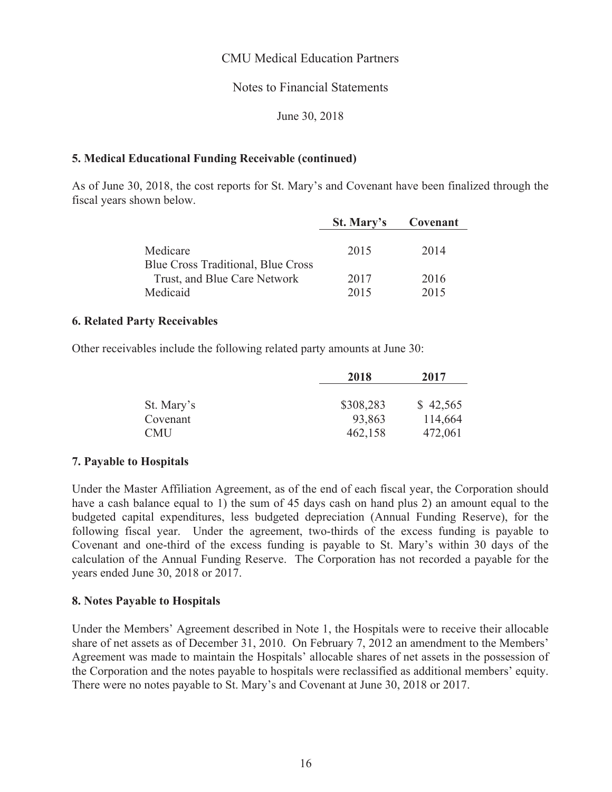# **Notes to Financial Statements**

June 30, 2018

### **5. Medical Educational Funding Receivable (continued)**

As of June 30, 2018, the cost reports for St. Mary's and Covenant have been finalized through the fiscal years shown below.

|                                    | St. Mary's | Covenant |
|------------------------------------|------------|----------|
|                                    |            |          |
| Medicare                           | 2015       | 2014     |
| Blue Cross Traditional, Blue Cross |            |          |
| Trust, and Blue Care Network       | 2017       | 2016     |
| Medicaid                           | 2015       | 2015     |

#### **6. Related Party Receivables**

Other receivables include the following related party amounts at June 30:

|            | 2018      | 2017     |
|------------|-----------|----------|
|            |           |          |
| St. Mary's | \$308,283 | \$42,565 |
| Covenant   | 93,863    | 114,664  |
| <b>CMU</b> | 462,158   | 472,061  |

#### 7. Payable to Hospitals

Under the Master Affiliation Agreement, as of the end of each fiscal year, the Corporation should have a cash balance equal to 1) the sum of 45 days cash on hand plus 2) an amount equal to the budgeted capital expenditures, less budgeted depreciation (Annual Funding Reserve), for the following fiscal year. Under the agreement, two-thirds of the excess funding is payable to Covenant and one-third of the excess funding is payable to St. Mary's within 30 days of the calculation of the Annual Funding Reserve. The Corporation has not recorded a payable for the years ended June 30, 2018 or 2017.

#### 8. Notes Payable to Hospitals

Under the Members' Agreement described in Note 1, the Hospitals were to receive their allocable share of net assets as of December 31, 2010. On February 7, 2012 an amendment to the Members' Agreement was made to maintain the Hospitals' allocable shares of net assets in the possession of the Corporation and the notes payable to hospitals were reclassified as additional members' equity. There were no notes payable to St. Mary's and Covenant at June 30, 2018 or 2017.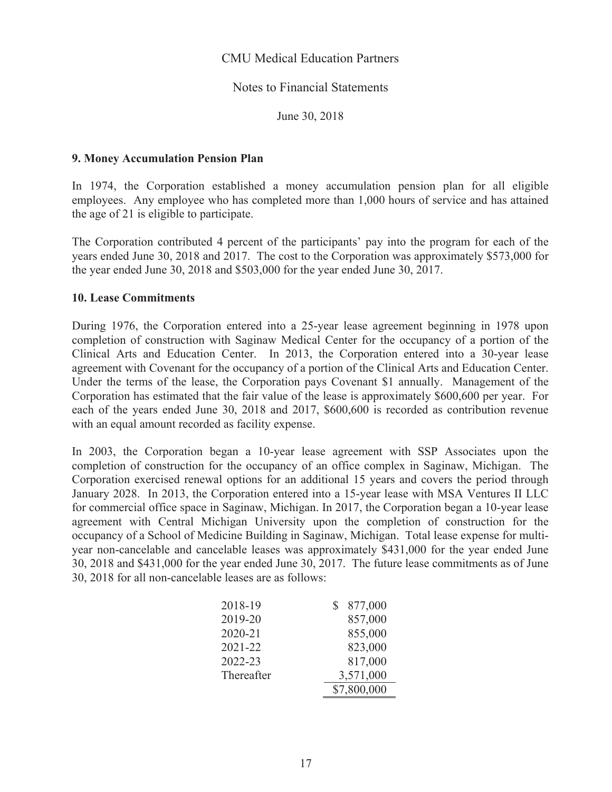#### Notes to Financial Statements

June 30, 2018

#### **9. Money Accumulation Pension Plan**

In 1974, the Corporation established a money accumulation pension plan for all eligible employees. Any employee who has completed more than 1,000 hours of service and has attained the age of 21 is eligible to participate.

The Corporation contributed 4 percent of the participants' pay into the program for each of the years ended June 30, 2018 and 2017. The cost to the Corporation was approximately \$573,000 for the year ended June 30, 2018 and \$503,000 for the year ended June 30, 2017.

#### **10. Lease Commitments**

During 1976, the Corporation entered into a 25-year lease agreement beginning in 1978 upon completion of construction with Saginaw Medical Center for the occupancy of a portion of the Clinical Arts and Education Center. In 2013, the Corporation entered into a 30-year lease agreement with Covenant for the occupancy of a portion of the Clinical Arts and Education Center. Under the terms of the lease, the Corporation pays Covenant \$1 annually. Management of the Corporation has estimated that the fair value of the lease is approximately \$600,600 per year. For each of the years ended June 30, 2018 and 2017, \$600,600 is recorded as contribution revenue with an equal amount recorded as facility expense.

In 2003, the Corporation began a 10-year lease agreement with SSP Associates upon the completion of construction for the occupancy of an office complex in Saginaw, Michigan. The Corporation exercised renewal options for an additional 15 years and covers the period through January 2028. In 2013, the Corporation entered into a 15-year lease with MSA Ventures II LLC for commercial office space in Saginaw, Michigan. In 2017, the Corporation began a 10-year lease agreement with Central Michigan University upon the completion of construction for the occupancy of a School of Medicine Building in Saginaw, Michigan. Total lease expense for multiyear non-cancelable and cancelable leases was approximately \$431,000 for the year ended June 30, 2018 and \$431,000 for the year ended June 30, 2017. The future lease commitments as of June 30, 2018 for all non-cancelable leases are as follows:

| 2018-19    | 877,000     |
|------------|-------------|
| 2019-20    | 857,000     |
| 2020-21    | 855,000     |
| 2021-22    | 823,000     |
| 2022-23    | 817,000     |
| Thereafter | 3,571,000   |
|            | \$7,800,000 |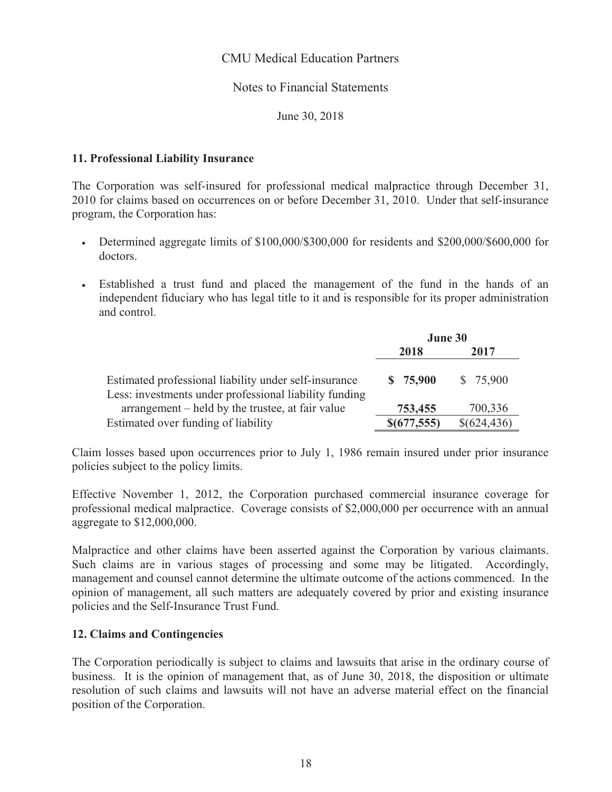# **Notes to Financial Statements**

June 30, 2018

### 11. Professional Liability Insurance

The Corporation was self-insured for professional medical malpractice through December 31, 2010 for claims based on occurrences on or before December 31, 2010. Under that self-insurance program, the Corporation has:

- Determined aggregate limits of \$100,000/\$300,000 for residents and \$200,000/\$600,000 for doctors.
- Established a trust fund and placed the management of the fund in the hands of an  $\bullet$ independent fiduciary who has legal title to it and is responsible for its proper administration and control.

|                                                                                                                 | June 30     |             |
|-----------------------------------------------------------------------------------------------------------------|-------------|-------------|
|                                                                                                                 | 2018        | 2017        |
| Estimated professional liability under self-insurance<br>Less: investments under professional liability funding | \$75,900    | \$75,900    |
| arrangement – held by the trustee, at fair value                                                                | 753,455     | 700,336     |
| Estimated over funding of liability                                                                             | \$(677,555) | \$(624,436) |

Claim losses based upon occurrences prior to July 1, 1986 remain insured under prior insurance policies subject to the policy limits.

Effective November 1, 2012, the Corporation purchased commercial insurance coverage for professional medical malpractice. Coverage consists of \$2,000,000 per occurrence with an annual aggregate to \$12,000,000.

Malpractice and other claims have been asserted against the Corporation by various claimants. Such claims are in various stages of processing and some may be litigated. Accordingly, management and counsel cannot determine the ultimate outcome of the actions commenced. In the opinion of management, all such matters are adequately covered by prior and existing insurance policies and the Self-Insurance Trust Fund.

#### 12. Claims and Contingencies

The Corporation periodically is subject to claims and lawsuits that arise in the ordinary course of business. It is the opinion of management that, as of June 30, 2018, the disposition or ultimate resolution of such claims and lawsuits will not have an adverse material effect on the financial position of the Corporation.